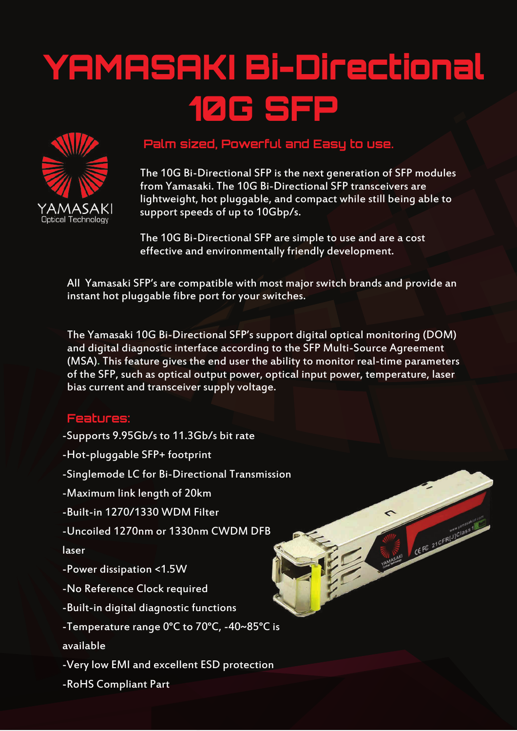## YAMASAKI Bi-Directional 10G SFP



## **Palm sized, Powerful and Easy to use.**

The 10G Bi-Directional SFP is the next generation of SFP modules from Yamasaki. The 10G Bi-Directional SFP transceivers are lightweight, hot pluggable, and compact while still being able to support speeds of up to 10Gbp/s.

CEFE 21CFRUJClass1

The 10G Bi-Directional SFP are simple to use and are a cost effective and environmentally friendly development.

All Yamasaki SFP's are compatible with most major switch brands and provide an instant hot pluggable fibre port for your switches.

The Yamasaki 10G Bi-Directional SFP's support digital optical monitoring (DOM) and digital diagnostic interface according to the SFP Multi-Source Agreement (MSA). This feature gives the end user the ability to monitor real-time parameters of the SFP, such as optical output power, optical input power, temperature, laser bias current and transceiver supply voltage.

## **Features:**

- -Supports 9.95Gb/s to 11.3Gb/s bit rate
- -Hot-pluggable SFP+ footprint
- -Singlemode LC for Bi-Directional Transmission
- -Maximum link length of 20km
- -Built-in 1270/1330 WDM Filter
- -Uncoiled 1270nm or 1330nm CWDM DFB

## laser

- -Power dissipation <1.5W
- -No Reference Clock required
- -Built-in digital diagnostic functions
- -Temperature range 0°C to 70°C, -40~85°C is

available

- -Very low EMI and excellent ESD protection
- -RoHS Compliant Part